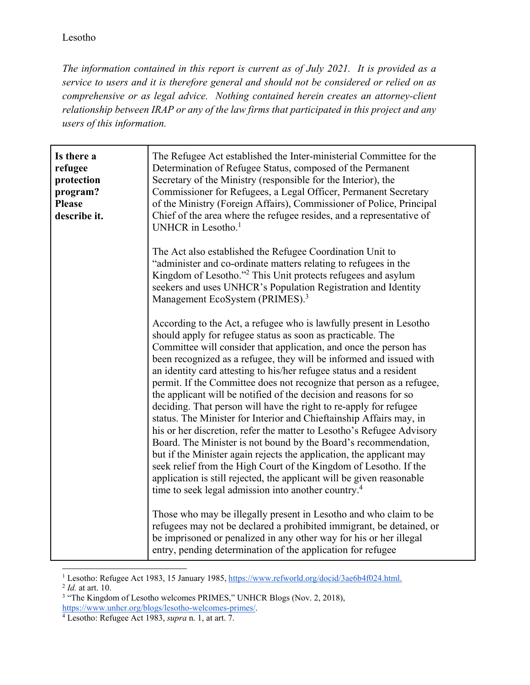*The information contained in this report is current as of July 2021. It is provided as a service to users and it is therefore general and should not be considered or relied on as comprehensive or as legal advice. Nothing contained herein creates an attorney-client relationship between IRAP or any of the law firms that participated in this project and any users of this information.* 

| Is there a<br>refugee<br>protection<br>program?<br><b>Please</b><br>describe it. | The Refugee Act established the Inter-ministerial Committee for the<br>Determination of Refugee Status, composed of the Permanent<br>Secretary of the Ministry (responsible for the Interior), the<br>Commissioner for Refugees, a Legal Officer, Permanent Secretary<br>of the Ministry (Foreign Affairs), Commissioner of Police, Principal<br>Chief of the area where the refugee resides, and a representative of<br>UNHCR in Lesotho. <sup>1</sup>                                                                                                                                                                                                                                                                                                                                                                                                                                                                                                                                                                                                                             |
|----------------------------------------------------------------------------------|-------------------------------------------------------------------------------------------------------------------------------------------------------------------------------------------------------------------------------------------------------------------------------------------------------------------------------------------------------------------------------------------------------------------------------------------------------------------------------------------------------------------------------------------------------------------------------------------------------------------------------------------------------------------------------------------------------------------------------------------------------------------------------------------------------------------------------------------------------------------------------------------------------------------------------------------------------------------------------------------------------------------------------------------------------------------------------------|
|                                                                                  | The Act also established the Refugee Coordination Unit to<br>"administer and co-ordinate matters relating to refugees in the<br>Kingdom of Lesotho." <sup>2</sup> This Unit protects refugees and asylum<br>seekers and uses UNHCR's Population Registration and Identity<br>Management EcoSystem (PRIMES). <sup>3</sup>                                                                                                                                                                                                                                                                                                                                                                                                                                                                                                                                                                                                                                                                                                                                                            |
|                                                                                  | According to the Act, a refugee who is lawfully present in Lesotho<br>should apply for refugee status as soon as practicable. The<br>Committee will consider that application, and once the person has<br>been recognized as a refugee, they will be informed and issued with<br>an identity card attesting to his/her refugee status and a resident<br>permit. If the Committee does not recognize that person as a refugee,<br>the applicant will be notified of the decision and reasons for so<br>deciding. That person will have the right to re-apply for refugee<br>status. The Minister for Interior and Chieftainship Affairs may, in<br>his or her discretion, refer the matter to Lesotho's Refugee Advisory<br>Board. The Minister is not bound by the Board's recommendation,<br>but if the Minister again rejects the application, the applicant may<br>seek relief from the High Court of the Kingdom of Lesotho. If the<br>application is still rejected, the applicant will be given reasonable<br>time to seek legal admission into another country. <sup>4</sup> |
|                                                                                  | Those who may be illegally present in Lesotho and who claim to be<br>refugees may not be declared a prohibited immigrant, be detained, or<br>be imprisoned or penalized in any other way for his or her illegal<br>entry, pending determination of the application for refugee                                                                                                                                                                                                                                                                                                                                                                                                                                                                                                                                                                                                                                                                                                                                                                                                      |

<sup>&</sup>lt;sup>1</sup> Lesotho: Refugee Act 1983, 15 January 1985, https://www.refworld.org/docid/3ae6b4f024.html.<br><sup>2</sup> *Id.* at art. 10.<br><sup>3</sup> "The Kingdom of Lesotho welcomes PRIMES " UNHCR Blogs (Nov. 2, 2018)

<sup>&</sup>lt;sup>3</sup> "The Kingdom of Lesotho welcomes PRIMES," UNHCR Blogs (Nov. 2, 2018), https://www.unhcr.org/blogs/lesotho-welcomes-primes/. 4

Lesotho: Refugee Act 1983, *supra* n. 1, at art. 7.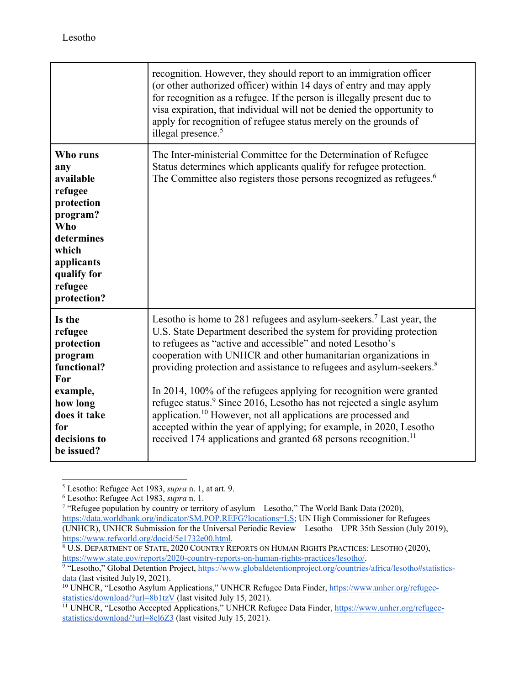|                                                                                                                                                        | recognition. However, they should report to an immigration officer<br>(or other authorized officer) within 14 days of entry and may apply<br>for recognition as a refugee. If the person is illegally present due to<br>visa expiration, that individual will not be denied the opportunity to<br>apply for recognition of refugee status merely on the grounds of<br>illegal presence. <sup>5</sup>                                                                                                                                                                                                                                                                                                                                                                       |
|--------------------------------------------------------------------------------------------------------------------------------------------------------|----------------------------------------------------------------------------------------------------------------------------------------------------------------------------------------------------------------------------------------------------------------------------------------------------------------------------------------------------------------------------------------------------------------------------------------------------------------------------------------------------------------------------------------------------------------------------------------------------------------------------------------------------------------------------------------------------------------------------------------------------------------------------|
| Who runs<br>any<br>available<br>refugee<br>protection<br>program?<br>Who<br>determines<br>which<br>applicants<br>qualify for<br>refugee<br>protection? | The Inter-ministerial Committee for the Determination of Refugee<br>Status determines which applicants qualify for refugee protection.<br>The Committee also registers those persons recognized as refugees. <sup>6</sup>                                                                                                                                                                                                                                                                                                                                                                                                                                                                                                                                                  |
| Is the<br>refugee<br>protection<br>program<br>functional?<br>For<br>example,<br>how long<br>does it take<br>for<br>decisions to<br>be issued?          | Lesotho is home to 281 refugees and asylum-seekers. <sup>7</sup> Last year, the<br>U.S. State Department described the system for providing protection<br>to refugees as "active and accessible" and noted Lesotho's<br>cooperation with UNHCR and other humanitarian organizations in<br>providing protection and assistance to refugees and asylum-seekers. <sup>8</sup><br>In 2014, 100% of the refugees applying for recognition were granted<br>refugee status. <sup>9</sup> Since 2016, Lesotho has not rejected a single asylum<br>application. <sup>10</sup> However, not all applications are processed and<br>accepted within the year of applying; for example, in 2020, Lesotho<br>received 174 applications and granted 68 persons recognition. <sup>11</sup> |

 $^5$  Lesotho: Refugee Act 1983, *supra* n. 1, at art. 9.<br> $^6$  Lesotho: Refugee Act 1983, *supra* n. 1

Lesotho: Refugee Act 1983, *supra* n. 1. 7

<sup>&</sup>lt;sup>7</sup> "Refugee population by country or territory of asylum – Lesotho," The World Bank Data (2020), https://data.worldbank.org/indicator/SM.POP.REFG?locations=LS; UN High Commissioner for Refugees (UNHCR), UNHCR Submission for the Universal Periodic Review – Lesotho – UPR 35th Session (July 2019), https://www.refworld.org/docid/5e1732e00.html. 8

**<sup>8</sup> U.S. DEPARTMENT OF STATE, 2020 COUNTRY REPORTS ON HUMAN RIGHTS PRACTICES: LESOTHO (2020),** https://www.state.gov/reports/2020-country-reports-on-human-rights-practices/lesotho/.

<sup>&</sup>lt;sup>9</sup> "Lesotho," Global Detention Project, https://www.globaldetentionproject.org/countries/africa/lesotho#statistics-<br>data (last visited July19, 2021).

<sup>&</sup>lt;sup>10</sup> UNHCR, "Lesotho Asylum Applications," UNHCR Refugee Data Finder, https://www.unhcr.org/refugeestatistics/download/?url=8b1tzV (last visited July 15, 2021).<br><sup>11</sup> UNHCR, "Lesotho Accepted Applications," UNHCR Refugee Data Finder, https://www.unhcr.org/refugee-

statistics/download/?url=8el6Z3 (last visited July 15, 2021).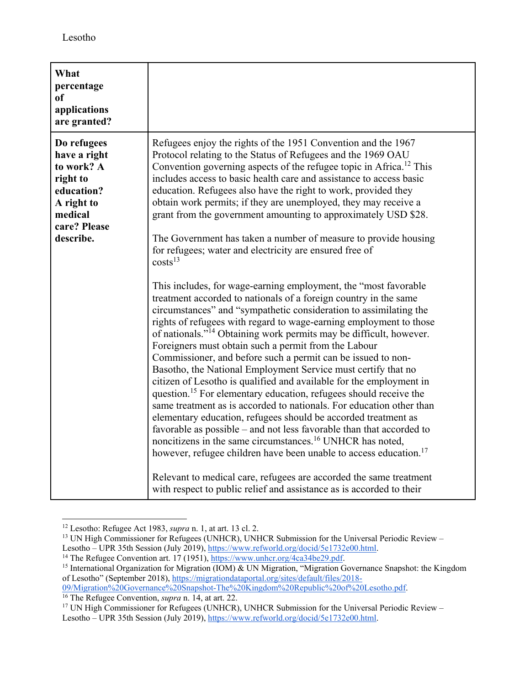| What<br>percentage<br><sub>of</sub><br>applications<br>are granted?                                                       |                                                                                                                                                                                                                                                                                                                                                                                                                                                                                                                                                                                                                                                                                                                                                                                                                                                                                                                                                                                                                                                                                                                                                                                                                                                                                                                                                                                                                                                                                                                                                                                                                                                                                                                                                                                                                             |
|---------------------------------------------------------------------------------------------------------------------------|-----------------------------------------------------------------------------------------------------------------------------------------------------------------------------------------------------------------------------------------------------------------------------------------------------------------------------------------------------------------------------------------------------------------------------------------------------------------------------------------------------------------------------------------------------------------------------------------------------------------------------------------------------------------------------------------------------------------------------------------------------------------------------------------------------------------------------------------------------------------------------------------------------------------------------------------------------------------------------------------------------------------------------------------------------------------------------------------------------------------------------------------------------------------------------------------------------------------------------------------------------------------------------------------------------------------------------------------------------------------------------------------------------------------------------------------------------------------------------------------------------------------------------------------------------------------------------------------------------------------------------------------------------------------------------------------------------------------------------------------------------------------------------------------------------------------------------|
| Do refugees<br>have a right<br>to work? A<br>right to<br>education?<br>A right to<br>medical<br>care? Please<br>describe. | Refugees enjoy the rights of the 1951 Convention and the 1967<br>Protocol relating to the Status of Refugees and the 1969 OAU<br>Convention governing aspects of the refugee topic in Africa. <sup>12</sup> This<br>includes access to basic health care and assistance to access basic<br>education. Refugees also have the right to work, provided they<br>obtain work permits; if they are unemployed, they may receive a<br>grant from the government amounting to approximately USD \$28.<br>The Government has taken a number of measure to provide housing<br>for refugees; water and electricity are ensured free of<br>costs <sup>13</sup><br>This includes, for wage-earning employment, the "most favorable"<br>treatment accorded to nationals of a foreign country in the same<br>circumstances" and "sympathetic consideration to assimilating the<br>rights of refugees with regard to wage-earning employment to those<br>of nationals." <sup>14</sup> Obtaining work permits may be difficult, however.<br>Foreigners must obtain such a permit from the Labour<br>Commissioner, and before such a permit can be issued to non-<br>Basotho, the National Employment Service must certify that no<br>citizen of Lesotho is qualified and available for the employment in<br>question. <sup>15</sup> For elementary education, refugees should receive the<br>same treatment as is accorded to nationals. For education other than<br>elementary education, refugees should be accorded treatment as<br>favorable as possible – and not less favorable than that accorded to<br>noncitizens in the same circumstances. <sup>16</sup> UNHCR has noted,<br>however, refugee children have been unable to access education. <sup>17</sup><br>Relevant to medical care, refugees are accorded the same treatment |
|                                                                                                                           | with respect to public relief and assistance as is accorded to their                                                                                                                                                                                                                                                                                                                                                                                                                                                                                                                                                                                                                                                                                                                                                                                                                                                                                                                                                                                                                                                                                                                                                                                                                                                                                                                                                                                                                                                                                                                                                                                                                                                                                                                                                        |

<sup>&</sup>lt;sup>12</sup> Lesotho: Refugee Act 1983, *supra* n. 1, at art. 13 cl. 2.

<sup>16</sup> The Refugee Convention, *supra* n. 14, at art. 22.<br><sup>17</sup> UN High Commissioner for Refugees (UNHCR), UNHCR Submission for the Universal Periodic Review – Lesotho – UPR 35th Session (July 2019), https://www.refworld.org/docid/5e1732e00.html.

<sup>&</sup>lt;sup>13</sup> UN High Commissioner for Refugees (UNHCR), UNHCR Submission for the Universal Periodic Review – Lesotho – UPR 35th Session (July 2019), https://www.refworld.org/docid/5e1732e00.html.

<sup>&</sup>lt;sup>14</sup> The Refugee Convention art. 17 (1951),  $\frac{https://www.unhcr.org/4ca34be29.pdf}{https://www.unhcr.org/4ca34be29.pdf}$ .<br><sup>15</sup> International Organization for Migration (IOM) & UN Migration, "Migration Governance Snapshot: the Kingdom of Lesotho" (September 2018), https://migrationdataportal.org/sites/default/files/2018-<br>09/Migration%20Governance%20Snapshot-The%20Kingdom%20Republic%20of%20Lesotho.pdf.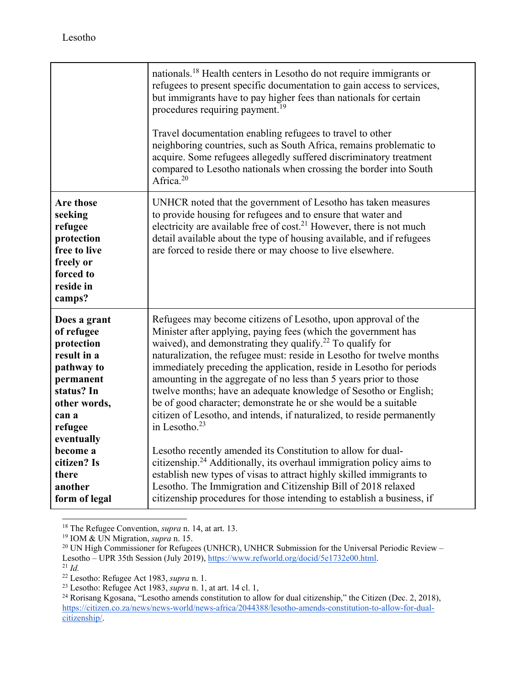|                                                                                                                                                    | nationals. <sup>18</sup> Health centers in Lesotho do not require immigrants or<br>refugees to present specific documentation to gain access to services,<br>but immigrants have to pay higher fees than nationals for certain<br>procedures requiring payment. <sup>19</sup><br>Travel documentation enabling refugees to travel to other<br>neighboring countries, such as South Africa, remains problematic to<br>acquire. Some refugees allegedly suffered discriminatory treatment<br>compared to Lesotho nationals when crossing the border into South<br>Africa. <sup>20</sup>                                                                                        |
|----------------------------------------------------------------------------------------------------------------------------------------------------|------------------------------------------------------------------------------------------------------------------------------------------------------------------------------------------------------------------------------------------------------------------------------------------------------------------------------------------------------------------------------------------------------------------------------------------------------------------------------------------------------------------------------------------------------------------------------------------------------------------------------------------------------------------------------|
| <b>Are those</b><br>seeking<br>refugee<br>protection<br>free to live<br>freely or<br>forced to<br>reside in<br>camps?                              | UNHCR noted that the government of Lesotho has taken measures<br>to provide housing for refugees and to ensure that water and<br>electricity are available free of $cost21$ However, there is not much<br>detail available about the type of housing available, and if refugees<br>are forced to reside there or may choose to live elsewhere.                                                                                                                                                                                                                                                                                                                               |
| Does a grant<br>of refugee<br>protection<br>result in a<br>pathway to<br>permanent<br>status? In<br>other words,<br>can a<br>refugee<br>eventually | Refugees may become citizens of Lesotho, upon approval of the<br>Minister after applying, paying fees (which the government has<br>waived), and demonstrating they qualify. <sup>22</sup> To qualify for<br>naturalization, the refugee must: reside in Lesotho for twelve months<br>immediately preceding the application, reside in Lesotho for periods<br>amounting in the aggregate of no less than 5 years prior to those<br>twelve months; have an adequate knowledge of Sesotho or English;<br>be of good character; demonstrate he or she would be a suitable<br>citizen of Lesotho, and intends, if naturalized, to reside permanently<br>in Lesotho. <sup>23</sup> |
| become a<br>citizen? Is<br>there<br>another<br>form of legal                                                                                       | Lesotho recently amended its Constitution to allow for dual-<br>citizenship. <sup>24</sup> Additionally, its overhaul immigration policy aims to<br>establish new types of visas to attract highly skilled immigrants to<br>Lesotho. The Immigration and Citizenship Bill of 2018 relaxed<br>citizenship procedures for those intending to establish a business, if                                                                                                                                                                                                                                                                                                          |

<sup>18</sup> The Refugee Convention, *supra* n. 14, at art. 13.

<sup>&</sup>lt;sup>18</sup> The Refugee Convention, *supra* n. 14, at art. 13.<br><sup>19</sup> IOM & UN Migration, *supra* n. 15.<br><sup>20</sup> UN High Commissioner for Refugees (UNHCR), UNHCR Submission for the Universal Periodic Review – Lesotho – UPR 35th Session (July 2019), https://www.refworld.org/docid/5e1732e00.html.<br><sup>21</sup> *Id.* 

<sup>&</sup>lt;sup>22</sup> Lesotho: Refugee Act 1983, *supra* n. 1.<br>
<sup>23</sup> Lesotho: Refugee Act 1983, *supra* n. 1, at art. 14 cl. 1,<br>
<sup>24</sup> Rorisang Kgosana, "Lesotho amends constitution to allow for dual citizenship," the Citizen (Dec. 2, 2018 https://citizen.co.za/news/news-world/news-africa/2044388/lesotho-amends-constitution-to-allow-for-dualcitizenship/.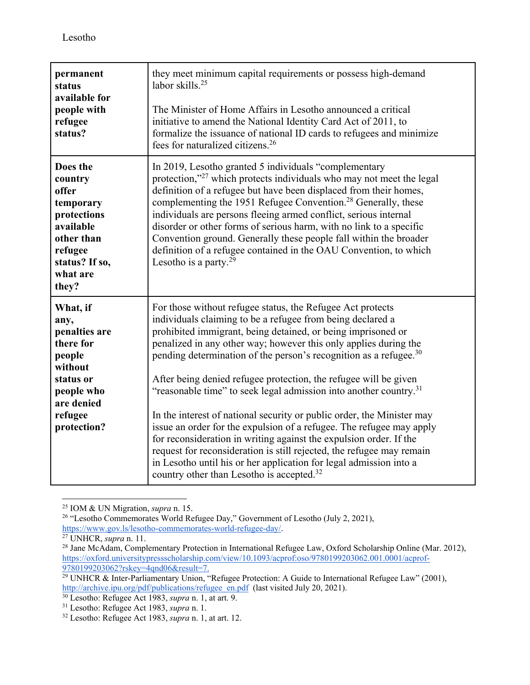| permanent<br>status<br>available for<br>people with<br>refugee<br>status?                                                              | they meet minimum capital requirements or possess high-demand<br>labor skills. $25$<br>The Minister of Home Affairs in Lesotho announced a critical<br>initiative to amend the National Identity Card Act of 2011, to<br>formalize the issuance of national ID cards to refugees and minimize<br>fees for naturalized citizens. <sup>26</sup>                                                                                                                                                                                                                                                                                                                                                                                                                                                                                                                                                                             |
|----------------------------------------------------------------------------------------------------------------------------------------|---------------------------------------------------------------------------------------------------------------------------------------------------------------------------------------------------------------------------------------------------------------------------------------------------------------------------------------------------------------------------------------------------------------------------------------------------------------------------------------------------------------------------------------------------------------------------------------------------------------------------------------------------------------------------------------------------------------------------------------------------------------------------------------------------------------------------------------------------------------------------------------------------------------------------|
| Does the<br>country<br>offer<br>temporary<br>protections<br>available<br>other than<br>refugee<br>status? If so,<br>what are<br>they?  | In 2019, Lesotho granted 5 individuals "complementary<br>protection," <sup>27</sup> which protects individuals who may not meet the legal<br>definition of a refugee but have been displaced from their homes,<br>complementing the 1951 Refugee Convention. <sup>28</sup> Generally, these<br>individuals are persons fleeing armed conflict, serious internal<br>disorder or other forms of serious harm, with no link to a specific<br>Convention ground. Generally these people fall within the broader<br>definition of a refugee contained in the OAU Convention, to which<br>Lesotho is a party. $29$                                                                                                                                                                                                                                                                                                              |
| What, if<br>any,<br>penalties are<br>there for<br>people<br>without<br>status or<br>people who<br>are denied<br>refugee<br>protection? | For those without refugee status, the Refugee Act protects<br>individuals claiming to be a refugee from being declared a<br>prohibited immigrant, being detained, or being imprisoned or<br>penalized in any other way; however this only applies during the<br>pending determination of the person's recognition as a refugee. $30$<br>After being denied refugee protection, the refugee will be given<br>"reasonable time" to seek legal admission into another country. <sup>31</sup><br>In the interest of national security or public order, the Minister may<br>issue an order for the expulsion of a refugee. The refugee may apply<br>for reconsideration in writing against the expulsion order. If the<br>request for reconsideration is still rejected, the refugee may remain<br>in Lesotho until his or her application for legal admission into a<br>country other than Lesotho is accepted. <sup>32</sup> |

 $\overline{a}$ 

<sup>&</sup>lt;sup>25</sup> IOM & UN Migration, *supra* n. 15.<br><sup>26</sup> "Lesotho Commemorates World Refugee Day," Government of Lesotho (July 2, 2021), https://www.gov.ls/lesotho-commemorates-world-refugee-day/.

<sup>&</sup>lt;sup>27</sup> UNHCR, *supra* n. 11.<br><sup>28</sup> Jane McAdam, Complementary Protection in International Refugee Law, Oxford Scholarship Online (Mar. 2012), https://oxford.universitypressscholarship.com/view/10.1093/acprof:oso/9780199203062.001.0001/acprof-

<sup>&</sup>lt;sup>29</sup> UNHCR & Inter-Parliamentary Union, "Refugee Protection: A Guide to International Refugee Law" (2001), http://archive.ipu.org/pdf/publications/refugee\_en.pdf (last visited July 20, 2021).<br><sup>30</sup> Lesotho: Refugee Act 1983, *supra* n. 1, at art. 9.<br><sup>31</sup> Lesotho: Refugee Act 1983, *supra* n. 1.<br><sup>32</sup> Lesotho: Refugee Act 1983,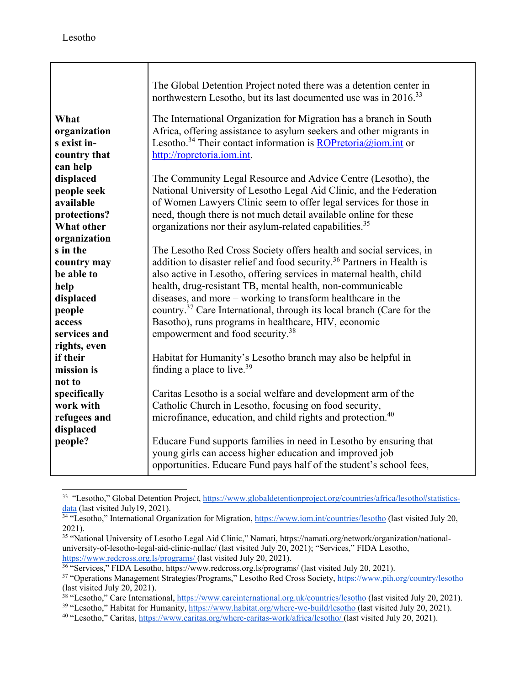|                                                                                                | The Global Detention Project noted there was a detention center in<br>northwestern Lesotho, but its last documented use was in 2016. <sup>33</sup>                                                                                                                                                                                                                                                                                                                                                                                                         |
|------------------------------------------------------------------------------------------------|------------------------------------------------------------------------------------------------------------------------------------------------------------------------------------------------------------------------------------------------------------------------------------------------------------------------------------------------------------------------------------------------------------------------------------------------------------------------------------------------------------------------------------------------------------|
| What<br>organization<br>s exist in-<br>country that<br>can help                                | The International Organization for Migration has a branch in South<br>Africa, offering assistance to asylum seekers and other migrants in<br>Lesotho. <sup>34</sup> Their contact information is $\frac{ROP}{rctori(a/a)$ iom.int or<br>http://ropretoria.iom.int.                                                                                                                                                                                                                                                                                         |
| displaced<br>people seek<br>available<br>protections?<br><b>What other</b><br>organization     | The Community Legal Resource and Advice Centre (Lesotho), the<br>National University of Lesotho Legal Aid Clinic, and the Federation<br>of Women Lawyers Clinic seem to offer legal services for those in<br>need, though there is not much detail available online for these<br>organizations nor their asylum-related capabilities. <sup>35</sup>                                                                                                                                                                                                        |
| s in the<br>country may<br>be able to<br>help<br>displaced<br>people<br>access<br>services and | The Lesotho Red Cross Society offers health and social services, in<br>addition to disaster relief and food security. <sup>36</sup> Partners in Health is<br>also active in Lesotho, offering services in maternal health, child<br>health, drug-resistant TB, mental health, non-communicable<br>diseases, and more – working to transform healthcare in the<br>country. <sup>37</sup> Care International, through its local branch (Care for the<br>Basotho), runs programs in healthcare, HIV, economic<br>empowerment and food security. <sup>38</sup> |
| rights, even<br>if their<br>mission is<br>not to                                               | Habitat for Humanity's Lesotho branch may also be helpful in<br>finding a place to live. <sup>39</sup>                                                                                                                                                                                                                                                                                                                                                                                                                                                     |
| specifically<br>work with<br>refugees and<br>displaced<br>people?                              | Caritas Lesotho is a social welfare and development arm of the<br>Catholic Church in Lesotho, focusing on food security,<br>microfinance, education, and child rights and protection. <sup>40</sup><br>Educare Fund supports families in need in Lesotho by ensuring that                                                                                                                                                                                                                                                                                  |
|                                                                                                | young girls can access higher education and improved job<br>opportunities. Educare Fund pays half of the student's school fees,                                                                                                                                                                                                                                                                                                                                                                                                                            |

<sup>&</sup>lt;sup>33</sup> "Lesotho," Global Detention Project, https://www.globaldetentionproject.org/countries/africa/lesotho#statistics-<br>data (last visited July19, 2021).

<sup>&</sup>lt;sup>34</sup> "Lesotho," International Organization for Migration, https://www.iom.int/countries/lesotho (last visited July 20, 2021).

<sup>35 &</sup>quot;National University of Lesotho Legal Aid Clinic," Namati, https://namati.org/network/organization/nationaluniversity-of-lesotho-legal-aid-clinic-nullac/ (last visited July 20, 2021); "Services," FIDA Lesotho, https://www.redcross.org.ls/programs/ (last visited July 20, 2021).

<sup>&</sup>lt;sup>36</sup> "Services," FIDA Lesotho, https://www.redcross.org.ls/programs/ (last visited July 20, 2021).<br><sup>37</sup> "Operations Management Strategies/Programs," Lesotho Red Cross Society, https://www.pih.org/country/lesotho

<sup>(</sup>last visited July 20, 2021).<br><sup>38</sup> "Lesotho," Care International, https://www.careinternational.org.uk/countries/lesotho (last visited July 20, 2021).

<sup>&</sup>lt;sup>39</sup> "Lesotho," Habitat for Humanity, https://www.habitat.org/where-we-build/lesotho (last visited July 20, 2021).<br><sup>40</sup> "Lesotho," Caritas, https://www.caritas.org/where-caritas-work/africa/lesotho/ (last visited July 20,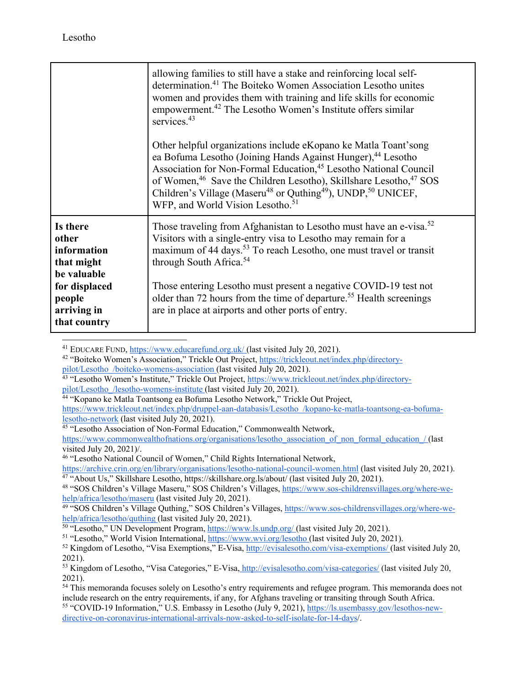|                                                               | allowing families to still have a stake and reinforcing local self-<br>determination. <sup>41</sup> The Boiteko Women Association Lesotho unites<br>women and provides them with training and life skills for economic<br>empowerment. <sup>42</sup> The Lesotho Women's Institute offers similar<br>services. $43$                                                                                                                                                         |
|---------------------------------------------------------------|-----------------------------------------------------------------------------------------------------------------------------------------------------------------------------------------------------------------------------------------------------------------------------------------------------------------------------------------------------------------------------------------------------------------------------------------------------------------------------|
|                                                               | Other helpful organizations include eKopano ke Matla Toant'song<br>ea Bofuma Lesotho (Joining Hands Against Hunger), <sup>44</sup> Lesotho<br>Association for Non-Formal Education, <sup>45</sup> Lesotho National Council<br>of Women, <sup>46</sup> Save the Children Lesotho), Skillshare Lesotho, <sup>47</sup> SOS<br>Children's Village (Maseru <sup>48</sup> or Quthing <sup>49</sup> ), UNDP, <sup>50</sup> UNICEF,<br>WFP, and World Vision Lesotho. <sup>51</sup> |
| Is there<br>other<br>information<br>that might<br>be valuable | Those traveling from Afghanistan to Lesotho must have an e-visa. <sup>52</sup><br>Visitors with a single-entry visa to Lesotho may remain for a<br>maximum of 44 days. <sup>53</sup> To reach Lesotho, one must travel or transit<br>through South Africa. <sup>54</sup>                                                                                                                                                                                                    |
| for displaced<br>people<br>arriving in<br>that country        | Those entering Lesotho must present a negative COVID-19 test not<br>older than 72 hours from the time of departure. <sup>55</sup> Health screenings<br>are in place at airports and other ports of entry.                                                                                                                                                                                                                                                                   |

<sup>41</sup> EDUCARE FUND, https://www.educarefund.org.uk/ (last visited July 20, 2021).

<sup>42</sup> "Boiteko Women's Association," Trickle Out Project, https://trickleout.net/index.php/directory-

- pilot/Lesotho\_/boiteko-womens-association (last visited July 20, 2021).<br><sup>43</sup> "Lesotho Women's Institute," Trickle Out Project, https://www.trickleout.net/index.php/directorypilot/Lesotho\_/lesotho-womens-institute (last visited July 20, 2021). 44 "Kopano ke Matla Toantsong ea Bofuma Lesotho Network," Trickle Out Project,
- 

https://www.trickleout.net/index.php/druppel-aan-databasis/Lesotho\_/kopano-ke-matla-toantsong-ea-bofuma-<br>lesotho-network (last visited July 20, 2021).

<sup>45</sup> "Lesotho Association of Non-Formal Education," Commonwealth Network,

https://www.commonwealthofnations.org/organisations/lesotho\_association\_of\_non\_formal\_education\_/ (last visited July 20, 2021)/.

46 "Lesotho National Council of Women," Child Rights International Network,

https://archive.crin.org/en/library/organisations/lesotho-national-council-women.html (last visited July 20, 2021).<br><sup>47</sup> "About Us," Skillshare Lesotho, https://skillshare.org.ls/about/ (last visited July 20, 2021).<br><sup>48</sup> "

help/africa/lesotho/maseru (last visited July 20, 2021).<br><sup>49</sup> "SOS Children's Village Quthing," SOS Children's Villages, https://www.sos-childrensvillages.org/where-we-<br>help/africa/lesotho/quthing (last visited July 20, 20

<sup>50</sup> "Lesotho," UN Development Program,  $\frac{https://www.ls.undp.org/(last visited July 20, 2021)}{https://www.ls.undp.org/(last visited July 20, 2021)}$ .<br><sup>51</sup> "Lesotho," World Vision International,  $\frac{https://www.wvi.org/lesotho}{}$  (last visited July 20, 2021).<br><sup>52</sup> Kingdom of Lesotho, "Visa Exe

<sup>2021).</sup> 

<sup>53</sup> Kingdom of Lesotho, "Visa Categories," E-Visa, http://evisalesotho.com/visa-categories/ (last visited July 20, 2021).

<sup>54</sup> This memoranda focuses solely on Lesotho's entry requirements and refugee program. This memoranda does not include research on the entry requirements, if any, for Afghans traveling or transiting through South Africa.<br><sup>55</sup> "COVID-19 Information," U.S. Embassy in Lesotho (July 9, 2021), https://ls.usembassy.gov/lesothos-new-

directive-on-coronavirus-international-arrivals-now-asked-to-self-isolate-for-14-days/.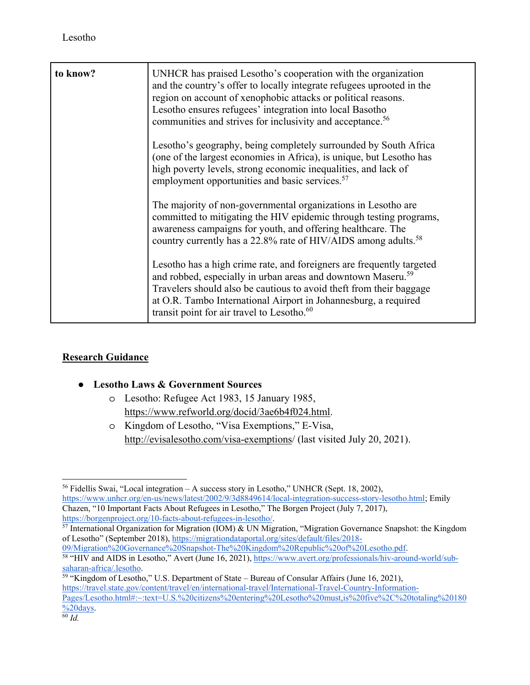| to know? | UNHCR has praised Lesotho's cooperation with the organization<br>and the country's offer to locally integrate refugees uprooted in the<br>region on account of xenophobic attacks or political reasons.<br>Lesotho ensures refugees' integration into local Basotho<br>communities and strives for inclusivity and acceptance. <sup>56</sup>          |
|----------|-------------------------------------------------------------------------------------------------------------------------------------------------------------------------------------------------------------------------------------------------------------------------------------------------------------------------------------------------------|
|          | Lesotho's geography, being completely surrounded by South Africa<br>(one of the largest economies in Africa), is unique, but Lesotho has<br>high poverty levels, strong economic inequalities, and lack of<br>employment opportunities and basic services. <sup>57</sup>                                                                              |
|          | The majority of non-governmental organizations in Lesotho are<br>committed to mitigating the HIV epidemic through testing programs,<br>awareness campaigns for youth, and offering healthcare. The<br>country currently has a 22.8% rate of HIV/AIDS among adults. <sup>58</sup>                                                                      |
|          | Lesotho has a high crime rate, and foreigners are frequently targeted<br>and robbed, especially in urban areas and downtown Maseru. <sup>59</sup><br>Travelers should also be cautious to avoid theft from their baggage<br>at O.R. Tambo International Airport in Johannesburg, a required<br>transit point for air travel to Lesotho. <sup>60</sup> |

## **Research Guidance**

## ● **Lesotho Laws & Government Sources**

- o Lesotho: Refugee Act 1983, 15 January 1985, https://www.refworld.org/docid/3ae6b4f024.html.
- o Kingdom of Lesotho, "Visa Exemptions," E-Visa, http://evisalesotho.com/visa-exemptions/ (last visited July 20, 2021).

<sup>56</sup> Fidellis Swai, "Local integration – A success story in Lesotho," UNHCR (Sept. 18, 2002), https://www.unhcr.org/en-us/news/latest/2002/9/3d8849614/local-integration-success-story-lesotho.html; Emily Chazen, "10 Important Facts About Refugees in Lesotho," The Borgen Project (July 7, 2017), https://borgenproject.org/10-facts-about-refugees-in-lesotho/.

<sup>&</sup>lt;sup>57</sup> International Organization for Migration (IOM) & UN Migration, "Migration Governance Snapshot: the Kingdom of Lesotho" (September 2018), https://migrationdataportal.org/sites/default/files/2018-<br>09/Migration%20Governance%20Snapshot-The%20Kingdom%20Republic%20of%20Lesotho.pdf

<sup>&</sup>lt;sup>58</sup> "HIV and AIDS in Lesotho," Avert (June 16, 2021), https://www.avert.org/professionals/hiv-around-world/subsaharan-africa/.lesotho.<br><sup>59</sup> "Kingdom of Lesotho," U.S. Department of State – Bureau of Consular Affairs (June 16, 2021),

https://travel.state.gov/content/travel/en/international-travel/International-Travel-Country-Information-Pages/Lesotho.html#:~:text=U.S.%20citizens%20entering%20Lesotho%20must,is%20five%2C%20totaling%20180  $\frac{\%20 \text{days}}{60}$  *Id.*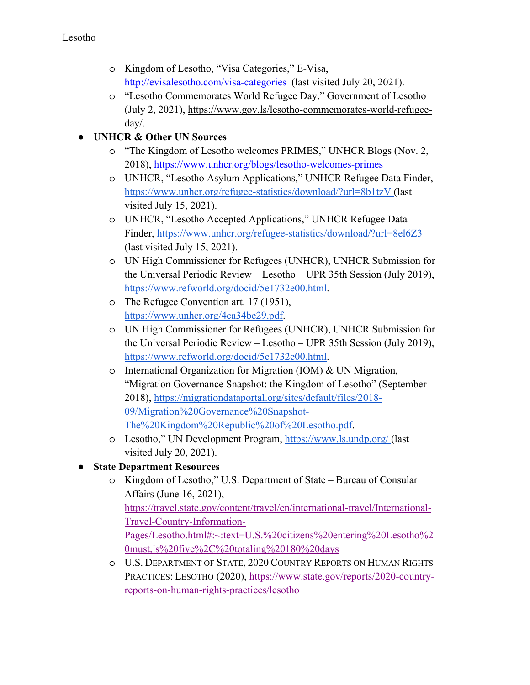- o Kingdom of Lesotho, "Visa Categories," E-Visa, http://evisalesotho.com/visa-categories (last visited July 20, 2021).
- o "Lesotho Commemorates World Refugee Day," Government of Lesotho (July 2, 2021), https://www.gov.ls/lesotho-commemorates-world-refugeeday/.

## **UNHCR & Other UN Sources**

- o "The Kingdom of Lesotho welcomes PRIMES," UNHCR Blogs (Nov. 2, 2018), https://www.unhcr.org/blogs/lesotho-welcomes-primes
- o UNHCR, "Lesotho Asylum Applications," UNHCR Refugee Data Finder, https://www.unhcr.org/refugee-statistics/download/?url=8b1tzV (last visited July 15, 2021).
- o UNHCR, "Lesotho Accepted Applications," UNHCR Refugee Data Finder, https://www.unhcr.org/refugee-statistics/download/?url=8el6Z3 (last visited July 15, 2021).
- o UN High Commissioner for Refugees (UNHCR), UNHCR Submission for the Universal Periodic Review – Lesotho – UPR 35th Session (July 2019), https://www.refworld.org/docid/5e1732e00.html.
- o The Refugee Convention art. 17 (1951), https://www.unhcr.org/4ca34be29.pdf.
- o UN High Commissioner for Refugees (UNHCR), UNHCR Submission for the Universal Periodic Review – Lesotho – UPR 35th Session (July 2019), https://www.refworld.org/docid/5e1732e00.html.
- o International Organization for Migration (IOM) & UN Migration, "Migration Governance Snapshot: the Kingdom of Lesotho" (September 2018), https://migrationdataportal.org/sites/default/files/2018- 09/Migration%20Governance%20Snapshot-The%20Kingdom%20Republic%20of%20Lesotho.pdf.
- o Lesotho," UN Development Program, https://www.ls.undp.org/ (last visited July 20, 2021).
- **State Department Resources** 
	- o Kingdom of Lesotho," U.S. Department of State Bureau of Consular Affairs (June 16, 2021), https://travel.state.gov/content/travel/en/international-travel/International-Travel-Country-Information-Pages/Lesotho.html#:~:text=U.S.%20citizens%20entering%20Lesotho%2 0must,is%20five%2C%20totaling%20180%20days
	- o U.S. DEPARTMENT OF STATE, 2020 COUNTRY REPORTS ON HUMAN RIGHTS PRACTICES: LESOTHO (2020), https://www.state.gov/reports/2020-countryreports-on-human-rights-practices/lesotho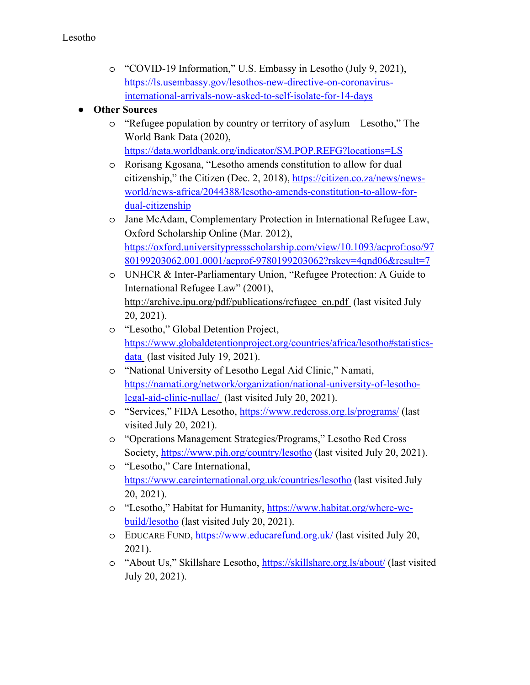- o "COVID-19 Information," U.S. Embassy in Lesotho (July 9, 2021), https://ls.usembassy.gov/lesothos-new-directive-on-coronavirusinternational-arrivals-now-asked-to-self-isolate-for-14-days
- **Other Sources** 
	- o "Refugee population by country or territory of asylum Lesotho," The World Bank Data (2020), https://data.worldbank.org/indicator/SM.POP.REFG?locations=LS
	- o Rorisang Kgosana, "Lesotho amends constitution to allow for dual citizenship," the Citizen (Dec. 2, 2018), https://citizen.co.za/news/newsworld/news-africa/2044388/lesotho-amends-constitution-to-allow-fordual-citizenship
	- o Jane McAdam, Complementary Protection in International Refugee Law, Oxford Scholarship Online (Mar. 2012), https://oxford.universitypressscholarship.com/view/10.1093/acprof:oso/97 80199203062.001.0001/acprof-9780199203062?rskey=4qnd06&result=7
	- o UNHCR & Inter-Parliamentary Union, "Refugee Protection: A Guide to International Refugee Law" (2001), http://archive.ipu.org/pdf/publications/refugee\_en.pdf (last visited July 20, 2021).
	- o "Lesotho," Global Detention Project, https://www.globaldetentionproject.org/countries/africa/lesotho#statisticsdata (last visited July 19, 2021).
	- o "National University of Lesotho Legal Aid Clinic," Namati, https://namati.org/network/organization/national-university-of-lesotholegal-aid-clinic-nullac/ (last visited July 20, 2021).
	- o "Services," FIDA Lesotho, https://www.redcross.org.ls/programs/ (last visited July 20, 2021).
	- o "Operations Management Strategies/Programs," Lesotho Red Cross Society, https://www.pih.org/country/lesotho (last visited July 20, 2021).
	- o "Lesotho," Care International, https://www.careinternational.org.uk/countries/lesotho (last visited July 20, 2021).
	- o "Lesotho," Habitat for Humanity, https://www.habitat.org/where-webuild/lesotho (last visited July 20, 2021).
	- o EDUCARE FUND, https://www.educarefund.org.uk/ (last visited July 20, 2021).
	- o "About Us," Skillshare Lesotho, https://skillshare.org.ls/about/ (last visited July 20, 2021).